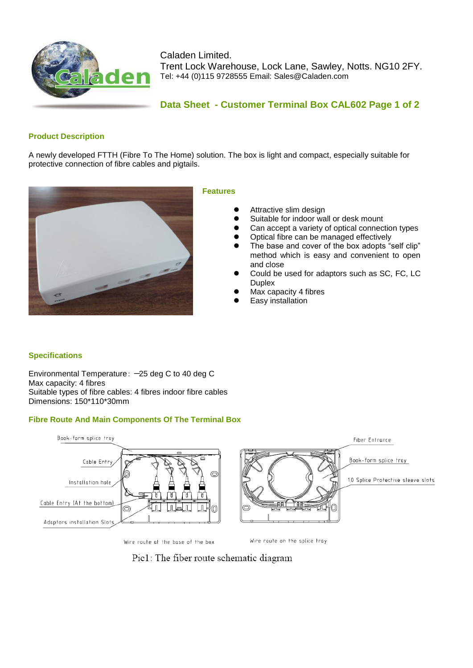

Caladen Limited. Trent Lock Warehouse, Lock Lane, Sawley, Notts. NG10 2FY. Tel: +44 (0)115 9728555 Email: Sales@Caladen.com

## **Data Sheet - Customer Terminal Box CAL602 Page 1 of 2**

### **Product Description**

A newly developed FTTH (Fibre To The Home) solution. The box is light and compact, especially suitable for protective connection of fibre cables and pigtails.



#### **Features**

- Attractive slim design
- Suitable for indoor wall or desk mount
- Can accept a variety of optical connection types
- Optical fibre can be managed effectively
- The base and cover of the box adopts "self clip" method which is easy and convenient to open and close
- Could be used for adaptors such as SC, FC, LC **Duplex**
- Max capacity 4 fibres
- Easy installation

### **Specifications**

Environmental Temperature:  $-25$  deg C to 40 deg C Max capacity: 4 fibres Suitable types of fibre cables: 4 fibres indoor fibre cables Dimensions: 150\*110\*30mm

### **Fibre Route And Main Components Of The Terminal Box**



Wire route at the base of the box

Wire route on the splice tray